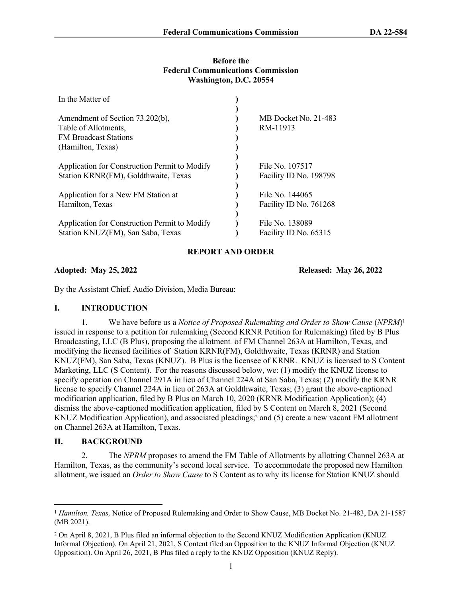## **Before the Federal Communications Commission Washington, D.C. 20554**

| In the Matter of                                                                                             |                                           |
|--------------------------------------------------------------------------------------------------------------|-------------------------------------------|
| Amendment of Section 73.202(b),<br>Table of Allotments,<br><b>FM Broadcast Stations</b><br>(Hamilton, Texas) | MB Docket No. 21-483<br>RM-11913          |
| Application for Construction Permit to Modify<br>Station KRNR(FM), Goldthwaite, Texas                        | File No. 107517<br>Facility ID No. 198798 |
| Application for a New FM Station at<br>Hamilton, Texas                                                       | File No. 144065<br>Facility ID No. 761268 |
| Application for Construction Permit to Modify<br>Station KNUZ(FM), San Saba, Texas                           | File No. 138089<br>Facility ID No. 65315  |

# **REPORT AND ORDER**

**Adopted: May 25, 2022 Released: May 26, 2022**

By the Assistant Chief, Audio Division, Media Bureau:

## **I. INTRODUCTION**

1. We have before us a *Notice of Proposed Rulemaking and Order to Show Cause* (*NPRM*)<sup>1</sup> issued in response to a petition for rulemaking (Second KRNR Petition for Rulemaking) filed by B Plus Broadcasting, LLC (B Plus), proposing the allotment of FM Channel 263A at Hamilton, Texas, and modifying the licensed facilities of Station KRNR(FM), Goldthwaite, Texas (KRNR) and Station KNUZ(FM), San Saba, Texas (KNUZ). B Plus is the licensee of KRNR. KNUZ is licensed to S Content Marketing, LLC (S Content). For the reasons discussed below, we: (1) modify the KNUZ license to specify operation on Channel 291A in lieu of Channel 224A at San Saba, Texas; (2) modify the KRNR license to specify Channel 224A in lieu of 263A at Goldthwaite, Texas; (3) grant the above-captioned modification application, filed by B Plus on March 10, 2020 (KRNR Modification Application); (4) dismiss the above-captioned modification application, filed by S Content on March 8, 2021 (Second KNUZ Modification Application), and associated pleadings;<sup>2</sup> and (5) create a new vacant FM allotment on Channel 263A at Hamilton, Texas.

# **II. BACKGROUND**

2. The *NPRM* proposes to amend the FM Table of Allotments by allotting Channel 263A at Hamilton, Texas, as the community's second local service. To accommodate the proposed new Hamilton allotment, we issued an *Order to Show Cause* to S Content as to why its license for Station KNUZ should

<sup>&</sup>lt;sup>1</sup> *Hamilton, Texas, Notice of Proposed Rulemaking and Order to Show Cause, MB Docket No. 21-483, DA 21-1587* (MB 2021).

<sup>2</sup> On April 8, 2021, B Plus filed an informal objection to the Second KNUZ Modification Application (KNUZ Informal Objection). On April 21, 2021, S Content filed an Opposition to the KNUZ Informal Objection (KNUZ Opposition). On April 26, 2021, B Plus filed a reply to the KNUZ Opposition (KNUZ Reply).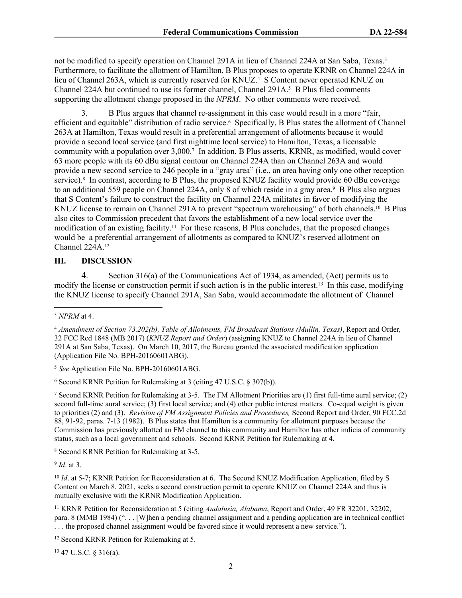not be modified to specify operation on Channel 291A in lieu of Channel 224A at San Saba, Texas.<sup>3</sup> Furthermore, to facilitate the allotment of Hamilton, B Plus proposes to operate KRNR on Channel 224A in lieu of Channel 263A, which is currently reserved for KNUZ.<sup>4</sup> S Content never operated KNUZ on Channel 224A but continued to use its former channel, Channel 291A.<sup>5</sup> B Plus filed comments supporting the allotment change proposed in the *NPRM*. No other comments were received.

3. B Plus argues that channel re-assignment in this case would result in a more "fair, efficient and equitable" distribution of radio service.<sup>6</sup> Specifically, B Plus states the allotment of Channel 263A at Hamilton, Texas would result in a preferential arrangement of allotments because it would provide a second local service (and first nighttime local service) to Hamilton, Texas, a licensable community with a population over 3,000.<sup>7</sup> In addition, B Plus asserts, KRNR, as modified, would cover 63 more people with its 60 dBu signal contour on Channel 224A than on Channel 263A and would provide a new second service to 246 people in a "gray area" (i.e., an area having only one other reception service).<sup>8</sup> In contrast, according to B Plus, the proposed KNUZ facility would provide 60 dBu coverage to an additional 559 people on Channel 224A, only 8 of which reside in a gray area.<sup>9</sup> B Plus also argues that S Content's failure to construct the facility on Channel 224A militates in favor of modifying the KNUZ license to remain on Channel 291A to prevent "spectrum warehousing" of both channels.<sup>10</sup> B Plus also cites to Commission precedent that favors the establishment of a new local service over the modification of an existing facility.11 For these reasons, B Plus concludes, that the proposed changes would be a preferential arrangement of allotments as compared to KNUZ's reserved allotment on Channel 224A.<sup>12</sup>

### **III. DISCUSSION**

4. Section 316(a) of the Communications Act of 1934, as amended, (Act) permits us to modify the license or construction permit if such action is in the public interest.<sup>13</sup> In this case, modifying the KNUZ license to specify Channel 291A, San Saba, would accommodate the allotment of Channel

<sup>5</sup> *See* Application File No. BPH-20160601ABG.

6 Second KRNR Petition for Rulemaking at 3 (citing 47 U.S.C. § 307(b)).

7 Second KRNR Petition for Rulemaking at 3-5. The FM Allotment Priorities are (1) first full-time aural service; (2) second full-time aural service; (3) first local service; and (4) other public interest matters. Co-equal weight is given to priorities (2) and (3). *Revision of FM Assignment Policies and Procedures,* Second Report and Order, 90 FCC.2d 88, 91-92, paras. 7-13 (1982). B Plus states that Hamilton is a community for allotment purposes because the Commission has previously allotted an FM channel to this community and Hamilton has other indicia of community status, such as a local government and schools. Second KRNR Petition for Rulemaking at 4.

8 Second KRNR Petition for Rulemaking at 3-5.

9 *Id*. at 3.

<sup>10</sup> *Id.* at 5-7; KRNR Petition for Reconsideration at 6. The Second KNUZ Modification Application, filed by S Content on March 8, 2021, seeks a second construction permit to operate KNUZ on Channel 224A and thus is mutually exclusive with the KRNR Modification Application.

<sup>11</sup> KRNR Petition for Reconsideration at 5 (citing *Andalusia, Alabama*, Report and Order, 49 FR 32201, 32202, para. 8 (MMB 1984) (". . . [W]hen a pending channel assignment and a pending application are in technical conflict . . . the proposed channel assignment would be favored since it would represent a new service.").

<sup>12</sup> Second KRNR Petition for Rulemaking at 5.

13 47 U.S.C. § 316(a).

<sup>3</sup> *NPRM* at 4.

<sup>4</sup> *Amendment of Section 73.202(b), Table of Allotments, FM Broadcast Stations (Mullin, Texas)*, Report and Order*,*  32 FCC Rcd 1848 (MB 2017) (*KNUZ Report and Order*) (assigning KNUZ to Channel 224A in lieu of Channel 291A at San Saba, Texas). On March 10, 2017, the Bureau granted the associated modification application (Application File No. BPH-20160601ABG).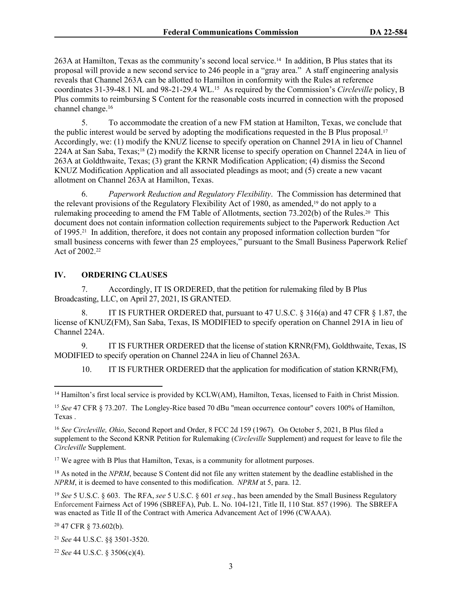263A at Hamilton, Texas as the community's second local service.14 In addition, B Plus states that its proposal will provide a new second service to 246 people in a "gray area." A staff engineering analysis reveals that Channel 263A can be allotted to Hamilton in conformity with the Rules at reference coordinates 31-39-48.1 NL and 98-21-29.4 WL.<sup>15</sup> As required by the Commission's *Circleville* policy, B Plus commits to reimbursing S Content for the reasonable costs incurred in connection with the proposed channel change.<sup>16</sup>

5. To accommodate the creation of a new FM station at Hamilton, Texas, we conclude that the public interest would be served by adopting the modifications requested in the B Plus proposal.<sup>17</sup> Accordingly, we: (1) modify the KNUZ license to specify operation on Channel 291A in lieu of Channel 224A at San Saba, Texas;18 (2) modify the KRNR license to specify operation on Channel 224A in lieu of 263A at Goldthwaite, Texas; (3) grant the KRNR Modification Application; (4) dismiss the Second KNUZ Modification Application and all associated pleadings as moot; and (5) create a new vacant allotment on Channel 263A at Hamilton, Texas.

6. *Paperwork Reduction and Regulatory Flexibility*. The Commission has determined that the relevant provisions of the Regulatory Flexibility Act of 1980, as amended,<sup>19</sup> do not apply to a rulemaking proceeding to amend the FM Table of Allotments, section 73.202(b) of the Rules.20 This document does not contain information collection requirements subject to the Paperwork Reduction Act of 1995.21 In addition, therefore, it does not contain any proposed information collection burden "for small business concerns with fewer than 25 employees," pursuant to the Small Business Paperwork Relief Act of 2002.<sup>22</sup>

# **IV. ORDERING CLAUSES**

7. Accordingly, IT IS ORDERED, that the petition for rulemaking filed by B Plus Broadcasting, LLC, on April 27, 2021, IS GRANTED.

8. IT IS FURTHER ORDERED that, pursuant to 47 U.S.C. § 316(a) and 47 CFR § 1.87, the license of KNUZ(FM), San Saba, Texas, IS MODIFIED to specify operation on Channel 291A in lieu of Channel 224A.

9. IT IS FURTHER ORDERED that the license of station KRNR(FM), Goldthwaite, Texas, IS MODIFIED to specify operation on Channel 224A in lieu of Channel 263A.

10. IT IS FURTHER ORDERED that the application for modification of station KRNR(FM),

<sup>17</sup> We agree with B Plus that Hamilton, Texas, is a community for allotment purposes.

<sup>18</sup> As noted in the *NPRM*, because S Content did not file any written statement by the deadline established in the *NPRM*, it is deemed to have consented to this modification. *NPRM* at 5, para. 12.

<sup>19</sup> *See* 5 U.S.C. § 603. The RFA, *see* 5 U.S.C. § 601 *et seq.*, has been amended by the Small Business Regulatory Enforcement Fairness Act of 1996 (SBREFA), Pub. L. No. 104-121, Title II, 110 Stat. 857 (1996). The SBREFA was enacted as Title II of the Contract with America Advancement Act of 1996 (CWAAA).

<sup>20</sup> 47 CFR § 73.602(b).

<sup>21</sup> *See* 44 U.S.C. §§ 3501-3520.

<sup>22</sup> *See* 44 U.S.C. § 3506(c)(4).

<sup>&</sup>lt;sup>14</sup> Hamilton's first local service is provided by KCLW(AM), Hamilton, Texas, licensed to Faith in Christ Mission.

<sup>15</sup> *See* 47 CFR § 73.207. The Longley-Rice based 70 dBu "mean occurrence contour" covers 100% of Hamilton, Texas .

<sup>16</sup> *See Circleville, Ohio*, Second Report and Order, 8 FCC 2d 159 (1967). On October 5, 2021, B Plus filed a supplement to the Second KRNR Petition for Rulemaking (*Circleville* Supplement) and request for leave to file the *Circleville* Supplement.